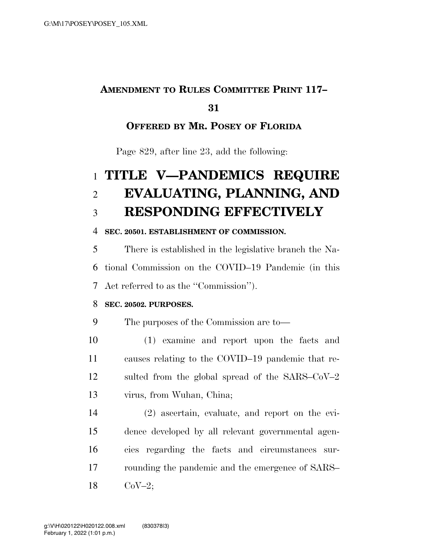### **AMENDMENT TO RULES COMMITTEE PRINT 117–**

### 

### **OFFERED BY MR. POSEY OF FLORIDA**

Page 829, after line 23, add the following:

# **TITLE V—PANDEMICS REQUIRE EVALUATING, PLANNING, AND RESPONDING EFFECTIVELY**

#### **SEC. 20501. ESTABLISHMENT OF COMMISSION.**

 There is established in the legislative branch the Na- tional Commission on the COVID–19 Pandemic (in this Act referred to as the ''Commission'').

#### **SEC. 20502. PURPOSES.**

The purposes of the Commission are to—

 (1) examine and report upon the facts and causes relating to the COVID–19 pandemic that re- sulted from the global spread of the SARS–CoV–2 virus, from Wuhan, China;

 (2) ascertain, evaluate, and report on the evi- dence developed by all relevant governmental agen- cies regarding the facts and circumstances sur- rounding the pandemic and the emergence of SARS– CoV–2;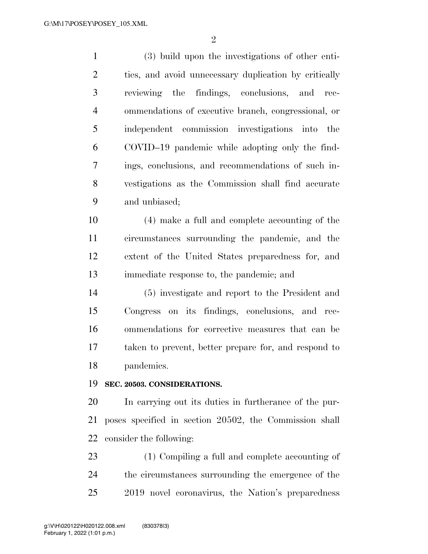$\mathfrak{D}$ 

 (3) build upon the investigations of other enti- ties, and avoid unnecessary duplication by critically reviewing the findings, conclusions, and rec- ommendations of executive branch, congressional, or independent commission investigations into the COVID–19 pandemic while adopting only the find- ings, conclusions, and recommendations of such in- vestigations as the Commission shall find accurate and unbiased;

 (4) make a full and complete accounting of the circumstances surrounding the pandemic, and the extent of the United States preparedness for, and immediate response to, the pandemic; and

 (5) investigate and report to the President and Congress on its findings, conclusions, and rec- ommendations for corrective measures that can be taken to prevent, better prepare for, and respond to pandemics.

#### **SEC. 20503. CONSIDERATIONS.**

 In carrying out its duties in furtherance of the pur- poses specified in section 20502, the Commission shall consider the following:

 (1) Compiling a full and complete accounting of the circumstances surrounding the emergence of the 2019 novel coronavirus, the Nation's preparedness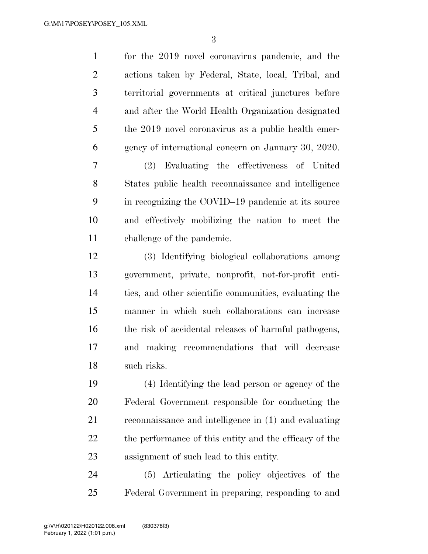| actions taken by Federal, State, local, Tribal, and    |
|--------------------------------------------------------|
| territorial governments at critical junctures before   |
| and after the World Health Organization designated     |
| the 2019 novel coronavirus as a public health emer-    |
| gency of international concern on January 30, 2020.    |
| (2) Evaluating the effectiveness of United             |
| States public health reconnaissance and intelligence   |
| in recognizing the COVID-19 pandemic at its source     |
| and effectively mobilizing the nation to meet the      |
| challenge of the pandemic.                             |
| (3) Identifying biological collaborations among        |
| government, private, nonprofit, not-for-profit enti-   |
|                                                        |
| ties, and other scientific communities, evaluating the |
| manner in which such collaborations can increase       |
| the risk of accidental releases of harmful pathogens,  |
| and making recommendations that will decrease          |
| such risks.                                            |
| (4) Identifying the lead person or agency of the       |
| Federal Government responsible for conducting the      |
| reconnaissance and intelligence in (1) and evaluating  |
| the performance of this entity and the efficacy of the |
| assignment of such lead to this entity.                |
|                                                        |

Federal Government in preparing, responding to and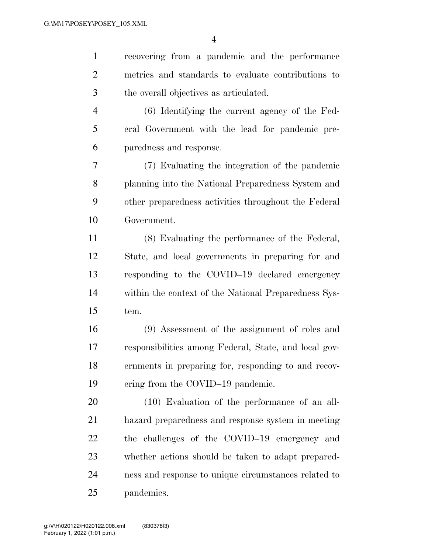recovering from a pandemic and the performance metrics and standards to evaluate contributions to the overall objectives as articulated.

 (6) Identifying the current agency of the Fed- eral Government with the lead for pandemic pre-paredness and response.

 (7) Evaluating the integration of the pandemic planning into the National Preparedness System and other preparedness activities throughout the Federal Government.

 (8) Evaluating the performance of the Federal, State, and local governments in preparing for and responding to the COVID–19 declared emergency within the context of the National Preparedness Sys-tem.

 (9) Assessment of the assignment of roles and responsibilities among Federal, State, and local gov- ernments in preparing for, responding to and recov-19 ering from the COVID–19 pandemic.

 (10) Evaluation of the performance of an all- hazard preparedness and response system in meeting the challenges of the COVID–19 emergency and whether actions should be taken to adapt prepared- ness and response to unique circumstances related to pandemics.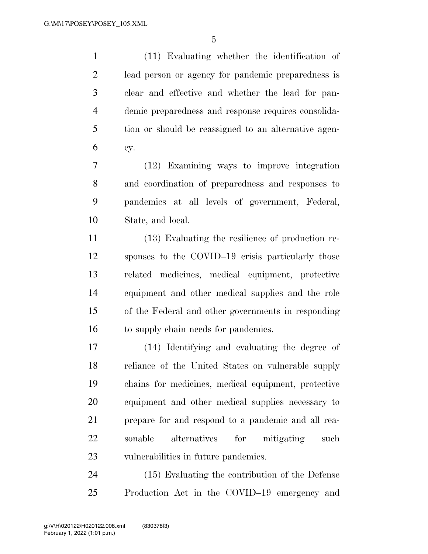(11) Evaluating whether the identification of lead person or agency for pandemic preparedness is clear and effective and whether the lead for pan- demic preparedness and response requires consolida- tion or should be reassigned to an alternative agen-cy.

 (12) Examining ways to improve integration and coordination of preparedness and responses to pandemics at all levels of government, Federal, State, and local.

 (13) Evaluating the resilience of production re- sponses to the COVID–19 crisis particularly those related medicines, medical equipment, protective equipment and other medical supplies and the role of the Federal and other governments in responding 16 to supply chain needs for pandemics.

 (14) Identifying and evaluating the degree of reliance of the United States on vulnerable supply chains for medicines, medical equipment, protective equipment and other medical supplies necessary to prepare for and respond to a pandemic and all rea- sonable alternatives for mitigating such vulnerabilities in future pandemics.

 (15) Evaluating the contribution of the Defense Production Act in the COVID–19 emergency and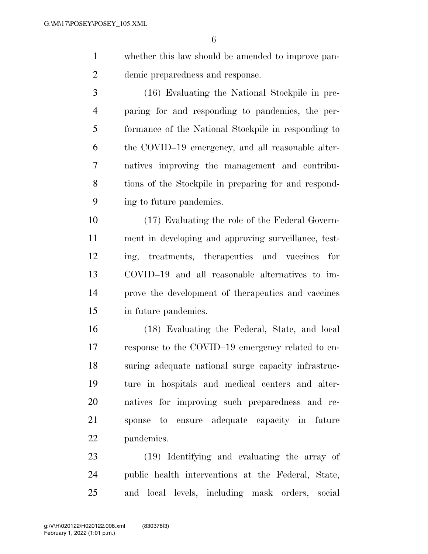- whether this law should be amended to improve pan-demic preparedness and response.
- (16) Evaluating the National Stockpile in pre- paring for and responding to pandemics, the per- formance of the National Stockpile in responding to the COVID–19 emergency, and all reasonable alter- natives improving the management and contribu- tions of the Stockpile in preparing for and respond-ing to future pandemics.

 (17) Evaluating the role of the Federal Govern- ment in developing and approving surveillance, test- ing, treatments, therapeutics and vaccines for COVID–19 and all reasonable alternatives to im- prove the development of therapeutics and vaccines in future pandemics.

 (18) Evaluating the Federal, State, and local response to the COVID–19 emergency related to en- suring adequate national surge capacity infrastruc- ture in hospitals and medical centers and alter- natives for improving such preparedness and re- sponse to ensure adequate capacity in future pandemics.

 (19) Identifying and evaluating the array of public health interventions at the Federal, State, and local levels, including mask orders, social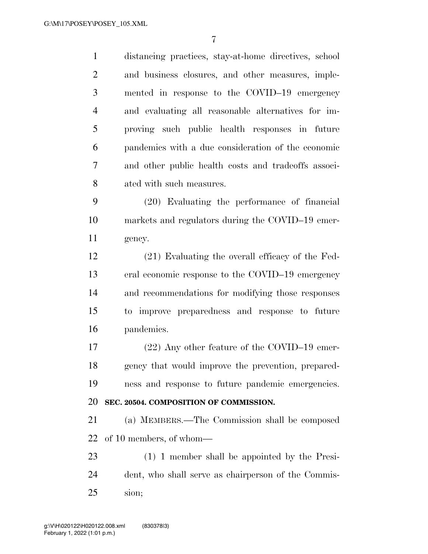distancing practices, stay-at-home directives, school and business closures, and other measures, imple- mented in response to the COVID–19 emergency and evaluating all reasonable alternatives for im- proving such public health responses in future pandemics with a due consideration of the economic and other public health costs and tradeoffs associ- ated with such measures. (20) Evaluating the performance of financial markets and regulators during the COVID–19 emer- gency. (21) Evaluating the overall efficacy of the Fed- eral economic response to the COVID–19 emergency and recommendations for modifying those responses to improve preparedness and response to future pandemics. (22) Any other feature of the COVID–19 emer- gency that would improve the prevention, prepared- ness and response to future pandemic emergencies. **SEC. 20504. COMPOSITION OF COMMISSION.**  (a) MEMBERS.—The Commission shall be composed of 10 members, of whom— (1) 1 member shall be appointed by the Presi- dent, who shall serve as chairperson of the Commis-sion;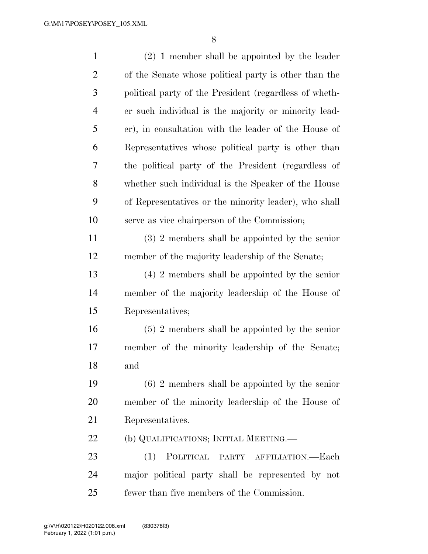| $\mathbf{1}$   | $(2)$ 1 member shall be appointed by the leader        |
|----------------|--------------------------------------------------------|
| $\overline{2}$ | of the Senate whose political party is other than the  |
| 3              | political party of the President (regardless of wheth- |
| $\overline{4}$ | er such individual is the majority or minority lead-   |
| 5              | er), in consultation with the leader of the House of   |
| 6              | Representatives whose political party is other than    |
| 7              | the political party of the President (regardless of    |
| 8              | whether such individual is the Speaker of the House    |
| 9              | of Representatives or the minority leader), who shall  |
| 10             | serve as vice chairperson of the Commission;           |
| 11             | $(3)$ 2 members shall be appointed by the senior       |
| 12             | member of the majority leadership of the Senate;       |
| 13             | $(4)$ 2 members shall be appointed by the senior       |
| 14             | member of the majority leadership of the House of      |
| 15             | Representatives;                                       |
| 16             | $(5)$ 2 members shall be appointed by the senior       |
| 17             | member of the minority leadership of the Senate;       |
| 18             | and                                                    |
| 19             | $(6)$ 2 members shall be appointed by the senior       |
| 20             | member of the minority leadership of the House of      |
| 21             | Representatives.                                       |
| 22             | (b) QUALIFICATIONS; INITIAL MEETING.—                  |
| 23             | POLITICAL PARTY AFFILIATION.—Each<br>(1)               |
| 24             | major political party shall be represented by not      |
| 25             | fewer than five members of the Commission.             |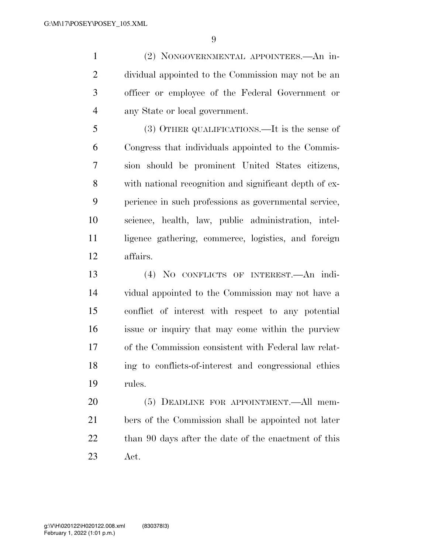(2) NONGOVERNMENTAL APPOINTEES.—An in- dividual appointed to the Commission may not be an officer or employee of the Federal Government or any State or local government.

 (3) OTHER QUALIFICATIONS.—It is the sense of Congress that individuals appointed to the Commis- sion should be prominent United States citizens, with national recognition and significant depth of ex- perience in such professions as governmental service, science, health, law, public administration, intel- ligence gathering, commerce, logistics, and foreign affairs.

 (4) NO CONFLICTS OF INTEREST.—An indi- vidual appointed to the Commission may not have a conflict of interest with respect to any potential issue or inquiry that may come within the purview of the Commission consistent with Federal law relat- ing to conflicts-of-interest and congressional ethics rules.

 (5) DEADLINE FOR APPOINTMENT.—All mem- bers of the Commission shall be appointed not later 22 than 90 days after the date of the enactment of this Act.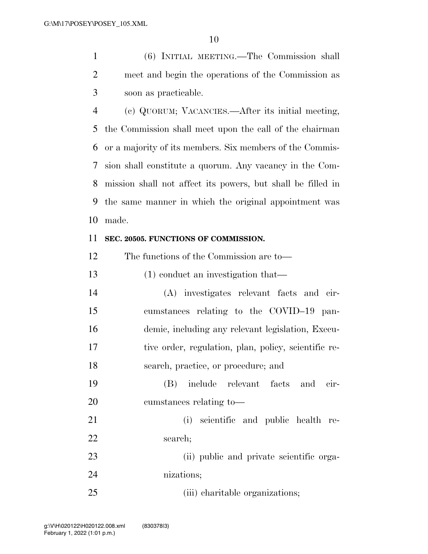(6) INITIAL MEETING.—The Commission shall meet and begin the operations of the Commission as soon as practicable.

 (c) QUORUM; VACANCIES.—After its initial meeting, the Commission shall meet upon the call of the chairman or a majority of its members. Six members of the Commis- sion shall constitute a quorum. Any vacancy in the Com- mission shall not affect its powers, but shall be filled in the same manner in which the original appointment was made.

#### **SEC. 20505. FUNCTIONS OF COMMISSION.**

The functions of the Commission are to—

(1) conduct an investigation that—

 (A) investigates relevant facts and cir- cumstances relating to the COVID–19 pan- demic, including any relevant legislation, Execu- tive order, regulation, plan, policy, scientific re-search, practice, or procedure; and

 (B) include relevant facts and cir-cumstances relating to—

 (i) scientific and public health re-22 search;

 (ii) public and private scientific orga-nizations;

25 (iii) charitable organizations;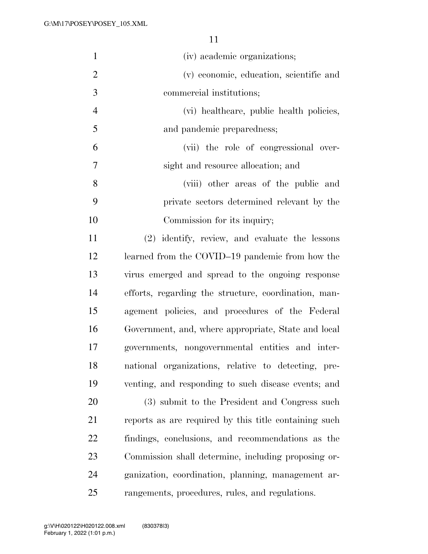| $\mathbf{1}$   | (iv) academic organizations;                          |
|----------------|-------------------------------------------------------|
| $\overline{2}$ | (v) economic, education, scientific and               |
| 3              | commercial institutions;                              |
| $\overline{4}$ | (vi) healthcare, public health policies,              |
| 5              | and pandemic preparedness;                            |
| 6              | (vii) the role of congressional over-                 |
| 7              | sight and resource allocation; and                    |
| 8              | (viii) other areas of the public and                  |
| 9              | private sectors determined relevant by the            |
| 10             | Commission for its inquiry;                           |
| 11             | (2) identify, review, and evaluate the lessons        |
| 12             | learned from the COVID-19 pandemic from how the       |
| 13             | virus emerged and spread to the ongoing response      |
| 14             | efforts, regarding the structure, coordination, man-  |
| 15             | agement policies, and procedures of the Federal       |
| 16             | Government, and, where appropriate, State and local   |
| 17             | governments, nongovernmental entities and inter-      |
| 18             | national organizations, relative to detecting, pre-   |
| 19             | venting, and responding to such disease events; and   |
| 20             | (3) submit to the President and Congress such         |
| 21             | reports as are required by this title containing such |
| 22             | findings, conclusions, and recommendations as the     |
| 23             | Commission shall determine, including proposing or-   |
| 24             | ganization, coordination, planning, management ar-    |
| 25             | rangements, procedures, rules, and regulations.       |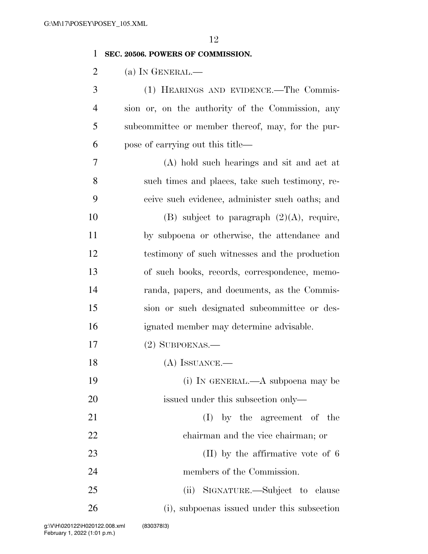#### **SEC. 20506. POWERS OF COMMISSION.**

2 (a) IN GENERAL.—

 (1) HEARINGS AND EVIDENCE.—The Commis- sion or, on the authority of the Commission, any subcommittee or member thereof, may, for the pur-pose of carrying out this title—

 (A) hold such hearings and sit and act at such times and places, take such testimony, re- ceive such evidence, administer such oaths; and 10 (B) subject to paragraph  $(2)(A)$ , require, by subpoena or otherwise, the attendance and testimony of such witnesses and the production of such books, records, correspondence, memo- randa, papers, and documents, as the Commis- sion or such designated subcommittee or des-ignated member may determine advisable.

(2) SUBPOENAS.—

18 (A) ISSUANCE.—

 (i) IN GENERAL.—A subpoena may be 20 issued under this subsection only—

21 (I) by the agreement of the chairman and the vice chairman; or

23 (II) by the affirmative vote of 6 members of the Commission.

 (ii) SIGNATURE.—Subject to clause (i), subpoenas issued under this subsection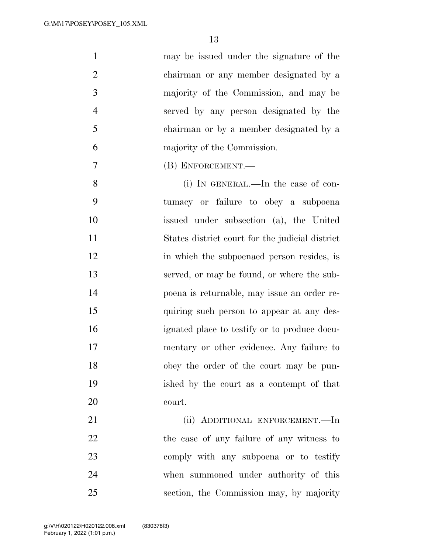| $\mathbf{1}$   | may be issued under the signature of the        |
|----------------|-------------------------------------------------|
| $\overline{2}$ | chairman or any member designated by a          |
| 3              | majority of the Commission, and may be          |
| $\overline{4}$ | served by any person designated by the          |
| 5              | chairman or by a member designated by a         |
| 6              | majority of the Commission.                     |
| 7              | (B) ENFORCEMENT.                                |
| 8              | (i) IN GENERAL.—In the case of con-             |
| 9              | tumacy or failure to obey a subpoena            |
| 10             | issued under subsection (a), the United         |
| 11             | States district court for the judicial district |
| 12             | in which the subpoenaed person resides, is      |
| 13             | served, or may be found, or where the sub-      |
| 14             | poena is returnable, may issue an order re-     |
| 15             | quiring such person to appear at any des-       |
| 16             | ignated place to testify or to produce docu-    |
| 17             | mentary or other evidence. Any failure to       |
| 18             | obey the order of the court may be pun-         |
| 19             | ished by the court as a contempt of that        |
| 20             | court.                                          |
| 21             | (ii) ADDITIONAL ENFORCEMENT.—In                 |
| 22             | the case of any failure of any witness to       |
| 23             | comply with any subpoena or to testify          |
| 24             | when summoned under authority of this           |
| 25             | section, the Commission may, by majority        |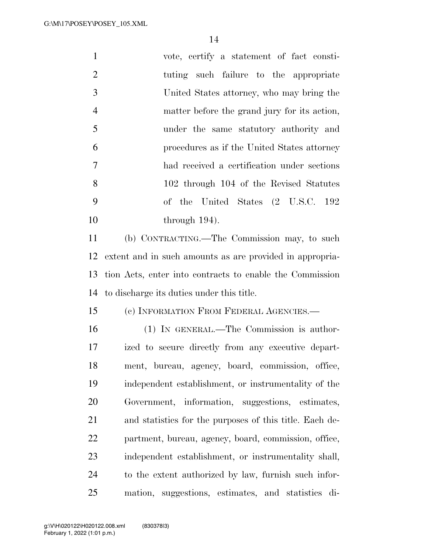| $\mathbf{1}$   | vote, certify a statement of fact consti-                |
|----------------|----------------------------------------------------------|
| $\overline{2}$ | tuting such failure to the appropriate                   |
| 3              | United States attorney, who may bring the                |
| $\overline{4}$ | matter before the grand jury for its action,             |
| 5              | under the same statutory authority and                   |
| 6              | procedures as if the United States attorney              |
| $\overline{7}$ | had received a certification under sections              |
| 8              | 102 through 104 of the Revised Statutes                  |
| 9              | United States (2 U.S.C. 192<br>of the                    |
| 10             | through $194$ ).                                         |
| 11             | (b) CONTRACTING.—The Commission may, to such             |
| 12             | extent and in such amounts as are provided in appropria- |
| 13             | tion Acts, enter into contracts to enable the Commission |
| 14             | to discharge its duties under this title.                |
| 15             | (c) INFORMATION FROM FEDERAL AGENCIES.-                  |
| 16             | (1) IN GENERAL.—The Commission is author-                |
| 17             | ized to secure directly from any executive depart-       |
| 18             | ment, bureau, agency, board, commission, office,         |
| 19             | independent establishment, or instrumentality of the     |
| <b>20</b>      | Government, information, suggestions, estimates,         |
| 21             | and statistics for the purposes of this title. Each de-  |
| 22             | partment, bureau, agency, board, commission, office,     |
| 23             | independent establishment, or instrumentality shall,     |
| 24             | to the extent authorized by law, furnish such infor-     |
| 25             | mation, suggestions, estimates, and statistics<br>di-    |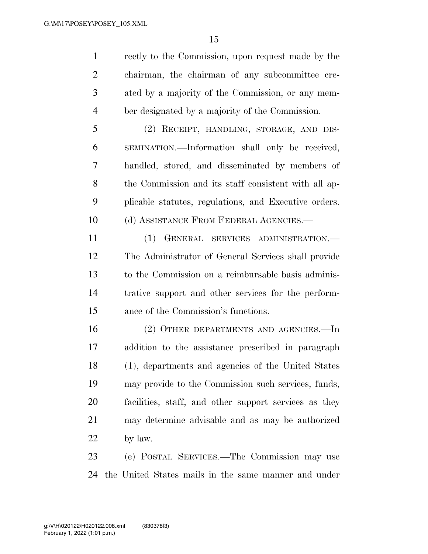rectly to the Commission, upon request made by the chairman, the chairman of any subcommittee cre- ated by a majority of the Commission, or any mem-ber designated by a majority of the Commission.

 (2) RECEIPT, HANDLING, STORAGE, AND DIS- SEMINATION.—Information shall only be received, handled, stored, and disseminated by members of the Commission and its staff consistent with all ap- plicable statutes, regulations, and Executive orders. 10 (d) ASSISTANCE FROM FEDERAL AGENCIES.—

 (1) GENERAL SERVICES ADMINISTRATION.— The Administrator of General Services shall provide to the Commission on a reimbursable basis adminis- trative support and other services for the perform-ance of the Commission's functions.

 (2) OTHER DEPARTMENTS AND AGENCIES.—In addition to the assistance prescribed in paragraph (1), departments and agencies of the United States may provide to the Commission such services, funds, facilities, staff, and other support services as they may determine advisable and as may be authorized by law.

 (e) POSTAL SERVICES.—The Commission may use the United States mails in the same manner and under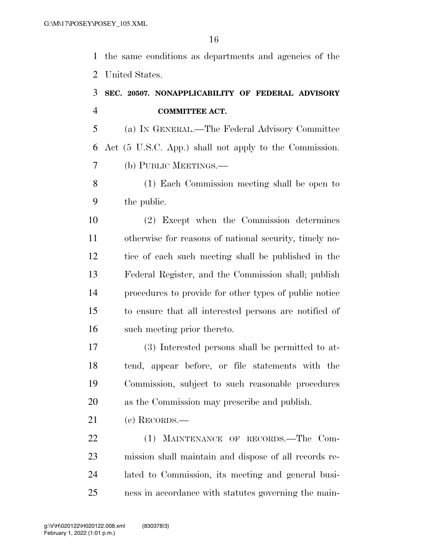the same conditions as departments and agencies of the United States.

## **SEC. 20507. NONAPPLICABILITY OF FEDERAL ADVISORY COMMITTEE ACT.**

 (a) IN GENERAL.—The Federal Advisory Committee Act (5 U.S.C. App.) shall not apply to the Commission. (b) PUBLIC MEETINGS.—

 (1) Each Commission meeting shall be open to the public.

 (2) Except when the Commission determines otherwise for reasons of national security, timely no- tice of each such meeting shall be published in the Federal Register, and the Commission shall; publish procedures to provide for other types of public notice to ensure that all interested persons are notified of such meeting prior thereto.

 (3) Interested persons shall be permitted to at- tend, appear before, or file statements with the Commission, subject to such reasonable procedures as the Commission may prescribe and publish.

(c) RECORDS.—

 (1) MAINTENANCE OF RECORDS.—The Com- mission shall maintain and dispose of all records re- lated to Commission, its meeting and general busi-ness in accordance with statutes governing the main-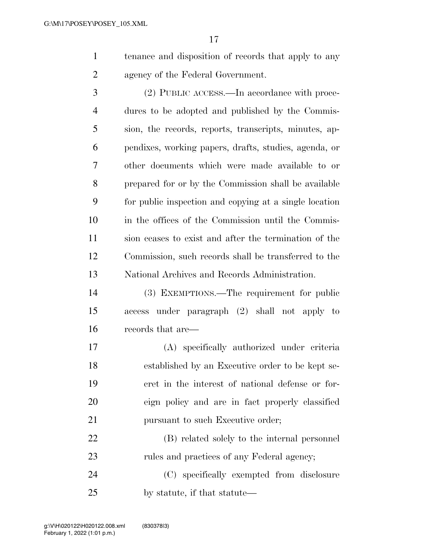tenance and disposition of records that apply to any agency of the Federal Government.

 (2) PUBLIC ACCESS.—In accordance with proce- dures to be adopted and published by the Commis- sion, the records, reports, transcripts, minutes, ap- pendixes, working papers, drafts, studies, agenda, or other documents which were made available to or prepared for or by the Commission shall be available for public inspection and copying at a single location in the offices of the Commission until the Commis- sion ceases to exist and after the termination of the Commission, such records shall be transferred to the National Archives and Records Administration.

 (3) EXEMPTIONS.—The requirement for public access under paragraph (2) shall not apply to records that are—

 (A) specifically authorized under criteria established by an Executive order to be kept se- cret in the interest of national defense or for- eign policy and are in fact properly classified 21 pursuant to such Executive order;

 (B) related solely to the internal personnel 23 rules and practices of any Federal agency;

 (C) specifically exempted from disclosure by statute, if that statute—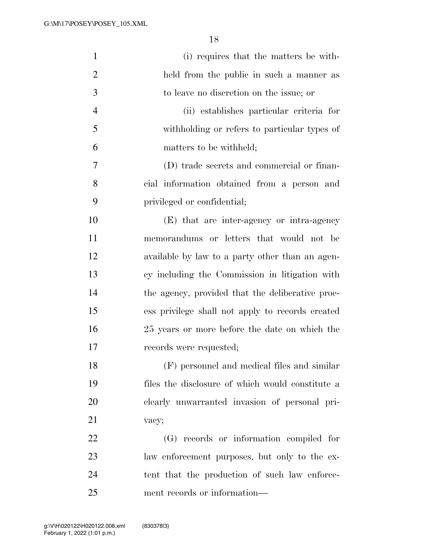| $\mathbf{1}$   | (i) requires that the matters be with-           |
|----------------|--------------------------------------------------|
| $\overline{2}$ | held from the public in such a manner as         |
| 3              | to leave no discretion on the issue; or          |
| $\overline{4}$ | (ii) establishes particular criteria for         |
| 5              | withholding or refers to particular types of     |
| 6              | matters to be withheld;                          |
| 7              | (D) trade secrets and commercial or finan-       |
| 8              | cial information obtained from a person and      |
| 9              | privileged or confidential;                      |
| 10             | (E) that are inter-agency or intra-agency        |
| 11             | memorandums or letters that would not be         |
| 12             | available by law to a party other than an agen-  |
| 13             | cy including the Commission in litigation with   |
| 14             | the agency, provided that the deliberative proc- |
| 15             | ess privilege shall not apply to records created |
| 16             | 25 years or more before the date on which the    |
| 17             | records were requested;                          |
| 18             | (F) personnel and medical files and similar      |
| 19             | files the disclosure of which would constitute a |
| 20             | clearly unwarranted invasion of personal pri-    |
| 21             | vacy;                                            |
| 22             | (G) records or information compiled for          |
| 23             | law enforcement purposes, but only to the ex-    |
| 24             | tent that the production of such law enforce-    |
| 25             | ment records or information—                     |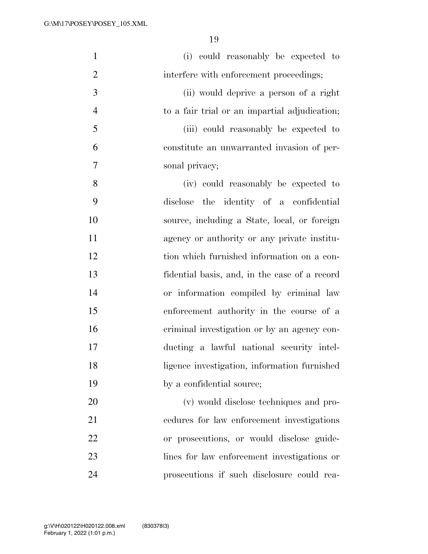| $\mathbf{1}$   | (i) could reasonably be expected to           |
|----------------|-----------------------------------------------|
| $\mathbf{2}$   | interfere with enforcement proceedings;       |
| 3              | (ii) would deprive a person of a right        |
| $\overline{4}$ | to a fair trial or an impartial adjudication; |
| 5              | (iii) could reasonably be expected to         |
| 6              | constitute an unwarranted invasion of per-    |
| $\tau$         | sonal privacy;                                |
| 8              | (iv) could reasonably be expected to          |
| 9              | the identity of a confidential<br>disclose    |
| 10             | source, including a State, local, or foreign  |
| 11             | agency or authority or any private institu-   |
| 12             | tion which furnished information on a con-    |
| 13             | fidential basis, and, in the case of a record |
| 14             | or information compiled by criminal law       |
| 15             | enforcement authority in the course of a      |
| 16             | criminal investigation or by an agency con-   |
| 17             | ducting a lawful national security intel-     |
| 18             | ligence investigation, information furnished  |
| 19             | by a confidential source;                     |
| 20             | (v) would disclose techniques and pro-        |
| 21             | cedures for law enforcement investigations    |
| 22             | or prosecutions, or would disclose guide-     |
| 23             | lines for law enforcement investigations or   |
| 24             | prosecutions if such disclosure could rea-    |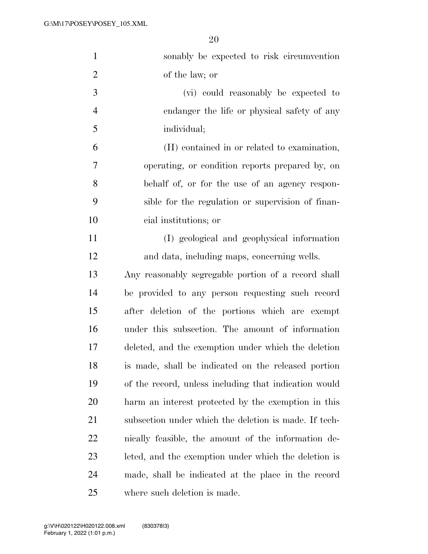| $\mathbf{1}$   | sonably be expected to risk circumvention             |
|----------------|-------------------------------------------------------|
| $\overline{2}$ | of the law; or                                        |
| 3              | (vi) could reasonably be expected to                  |
| $\overline{4}$ | endanger the life or physical safety of any           |
| 5              | individual;                                           |
| 6              | (H) contained in or related to examination,           |
| 7              | operating, or condition reports prepared by, on       |
| 8              | behalf of, or for the use of an agency respon-        |
| 9              | sible for the regulation or supervision of finan-     |
| 10             | cial institutions; or                                 |
| 11             | (I) geological and geophysical information            |
| 12             | and data, including maps, concerning wells.           |
| 13             | Any reasonably segregable portion of a record shall   |
| 14             | be provided to any person requesting such record      |
| 15             | after deletion of the portions which are exempt       |
| 16             | under this subsection. The amount of information      |
| 17             | deleted, and the exemption under which the deletion   |
| 18             | is made, shall be indicated on the released portion   |
| 19             | of the record, unless including that indication would |
| <b>20</b>      | harm an interest protected by the exemption in this   |
| 21             | subsection under which the deletion is made. If tech- |
| 22             | nically feasible, the amount of the information de-   |
| 23             | leted, and the exemption under which the deletion is  |
| 24             | made, shall be indicated at the place in the record   |
| 25             | where such deletion is made.                          |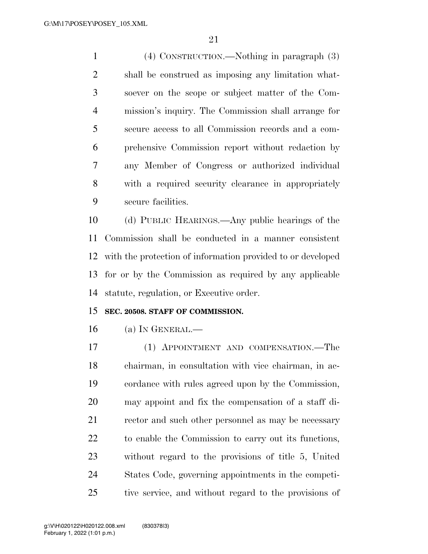(4) CONSTRUCTION.—Nothing in paragraph (3) shall be construed as imposing any limitation what- soever on the scope or subject matter of the Com- mission's inquiry. The Commission shall arrange for secure access to all Commission records and a com- prehensive Commission report without redaction by any Member of Congress or authorized individual with a required security clearance in appropriately secure facilities.

 (d) PUBLIC HEARINGS.—Any public hearings of the Commission shall be conducted in a manner consistent with the protection of information provided to or developed for or by the Commission as required by any applicable statute, regulation, or Executive order.

#### **SEC. 20508. STAFF OF COMMISSION.**

(a) IN GENERAL.—

 (1) APPOINTMENT AND COMPENSATION.—The chairman, in consultation with vice chairman, in ac- cordance with rules agreed upon by the Commission, may appoint and fix the compensation of a staff di-21 rector and such other personnel as may be necessary to enable the Commission to carry out its functions, without regard to the provisions of title 5, United States Code, governing appointments in the competi-tive service, and without regard to the provisions of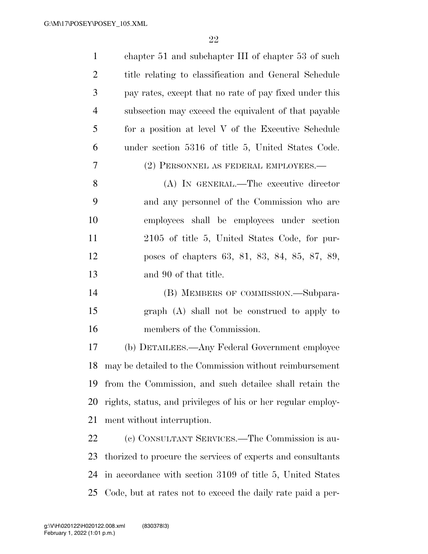| $\mathbf{1}$   | chapter 51 and subchapter III of chapter 53 of such          |
|----------------|--------------------------------------------------------------|
| $\overline{c}$ | title relating to classification and General Schedule        |
| 3              | pay rates, except that no rate of pay fixed under this       |
| $\overline{4}$ | subsection may exceed the equivalent of that payable         |
| 5              | for a position at level V of the Executive Schedule          |
| 6              | under section 5316 of title 5, United States Code.           |
| 7              | (2) PERSONNEL AS FEDERAL EMPLOYEES.—                         |
| 8              | (A) IN GENERAL.—The executive director                       |
| 9              | and any personnel of the Commission who are                  |
| 10             | employees shall be employees under section                   |
| 11             | 2105 of title 5, United States Code, for pur-                |
| 12             | poses of chapters 63, 81, 83, 84, 85, 87, 89,                |
| 13             | and 90 of that title.                                        |
| 14             | (B) MEMBERS OF COMMISSION.—Subpara-                          |
| 15             | graph (A) shall not be construed to apply to                 |
| 16             | members of the Commission.                                   |
| 17             | (b) DETAILEES.—Any Federal Government employee               |
| 18             | may be detailed to the Commission without reimbursement      |
| 19             | from the Commission, and such detailee shall retain the      |
| 20             | rights, status, and privileges of his or her regular employ- |
| 21             | ment without interruption.                                   |
| 22             | (c) CONSULTANT SERVICES.—The Commission is au-               |
| 23             | thorized to procure the services of experts and consultants  |
| 24             | in accordance with section 3109 of title 5, United States    |
| 25             | Code, but at rates not to exceed the daily rate paid a per-  |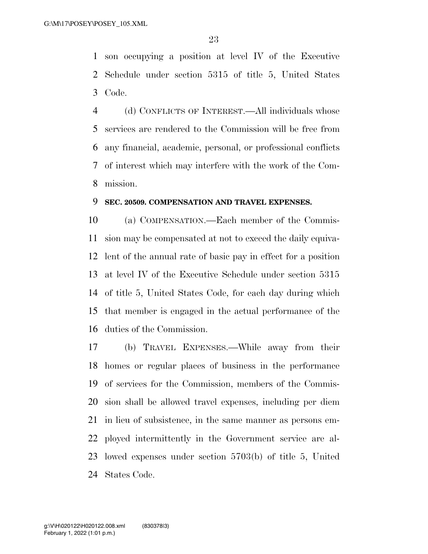son occupying a position at level IV of the Executive Schedule under section 5315 of title 5, United States Code.

 (d) CONFLICTS OF INTEREST.—All individuals whose services are rendered to the Commission will be free from any financial, academic, personal, or professional conflicts of interest which may interfere with the work of the Com-mission.

#### **SEC. 20509. COMPENSATION AND TRAVEL EXPENSES.**

 (a) COMPENSATION.—Each member of the Commis- sion may be compensated at not to exceed the daily equiva- lent of the annual rate of basic pay in effect for a position at level IV of the Executive Schedule under section 5315 of title 5, United States Code, for each day during which that member is engaged in the actual performance of the duties of the Commission.

 (b) TRAVEL EXPENSES.—While away from their homes or regular places of business in the performance of services for the Commission, members of the Commis- sion shall be allowed travel expenses, including per diem in lieu of subsistence, in the same manner as persons em- ployed intermittently in the Government service are al- lowed expenses under section 5703(b) of title 5, United States Code.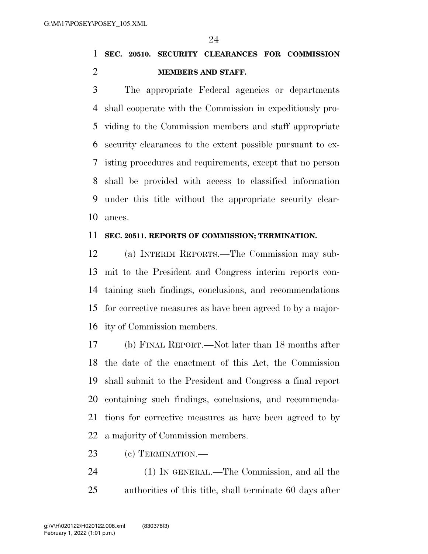**SEC. 20510. SECURITY CLEARANCES FOR COMMISSION MEMBERS AND STAFF.** 

 The appropriate Federal agencies or departments shall cooperate with the Commission in expeditiously pro- viding to the Commission members and staff appropriate security clearances to the extent possible pursuant to ex- isting procedures and requirements, except that no person shall be provided with access to classified information under this title without the appropriate security clear-ances.

#### **SEC. 20511. REPORTS OF COMMISSION; TERMINATION.**

 (a) INTERIM REPORTS.—The Commission may sub- mit to the President and Congress interim reports con- taining such findings, conclusions, and recommendations for corrective measures as have been agreed to by a major-ity of Commission members.

 (b) FINAL REPORT.—Not later than 18 months after the date of the enactment of this Act, the Commission shall submit to the President and Congress a final report containing such findings, conclusions, and recommenda- tions for corrective measures as have been agreed to by a majority of Commission members.

(c) TERMINATION.—

 (1) IN GENERAL.—The Commission, and all the authorities of this title, shall terminate 60 days after